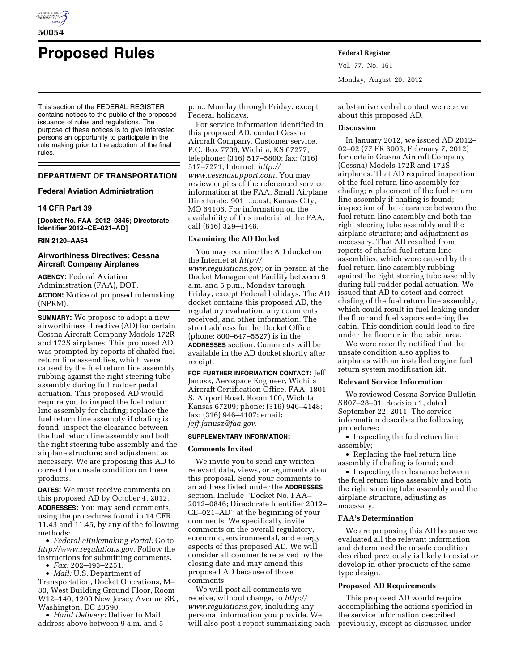

# **Proposed Rules Federal Register**

This section of the FEDERAL REGISTER contains notices to the public of the proposed issuance of rules and regulations. The purpose of these notices is to give interested persons an opportunity to participate in the rule making prior to the adoption of the final rules.

# **DEPARTMENT OF TRANSPORTATION**

# **Federal Aviation Administration**

# **14 CFR Part 39**

**[Docket No. FAA–2012–0846; Directorate Identifier 2012–CE–021–AD]** 

## **RIN 2120–AA64**

# **Airworthiness Directives; Cessna Aircraft Company Airplanes**

**AGENCY:** Federal Aviation Administration (FAA), DOT. **ACTION:** Notice of proposed rulemaking (NPRM).

**SUMMARY:** We propose to adopt a new airworthiness directive (AD) for certain Cessna Aircraft Company Models 172R and 172S airplanes. This proposed AD was prompted by reports of chafed fuel return line assemblies, which were caused by the fuel return line assembly rubbing against the right steering tube assembly during full rudder pedal actuation. This proposed AD would require you to inspect the fuel return line assembly for chafing; replace the fuel return line assembly if chafing is found; inspect the clearance between the fuel return line assembly and both the right steering tube assembly and the airplane structure; and adjustment as necessary. We are proposing this AD to correct the unsafe condition on these products.

**DATES:** We must receive comments on this proposed AD by October 4, 2012. **ADDRESSES:** You may send comments, using the procedures found in 14 CFR 11.43 and 11.45, by any of the following methods:

• *Federal eRulemaking Portal:* Go to *<http://www.regulations.gov>*. Follow the instructions for submitting comments. • *Fax:* 202–493–2251.

• *Mail:* U.S. Department of

Transportation, Docket Operations, M– 30, West Building Ground Floor, Room W12–140, 1200 New Jersey Avenue SE., Washington, DC 20590.

• *Hand Delivery:* Deliver to Mail address above between 9 a.m. and 5 p.m., Monday through Friday, except Federal holidays.

For service information identified in this proposed AD, contact Cessna Aircraft Company, Customer service, P.O. Box 7706, Wichita, KS 67277; telephone: (316) 517–5800; fax: (316) 517–7271; Internet: *[http://](http://www.cessnasupport.com)  [www.cessnasupport.com](http://www.cessnasupport.com)*. You may review copies of the referenced service information at the FAA, Small Airplane Directorate, 901 Locust, Kansas City, MO 64106. For information on the availability of this material at the FAA, call (816) 329–4148.

## **Examining the AD Docket**

You may examine the AD docket on the Internet at *[http://](http://www.regulations.gov)  [www.regulations.gov;](http://www.regulations.gov)* or in person at the Docket Management Facility between 9 a.m. and 5 p.m., Monday through Friday, except Federal holidays. The AD docket contains this proposed AD, the regulatory evaluation, any comments received, and other information. The street address for the Docket Office (phone: 800–647–5527) is in the **ADDRESSES** section. Comments will be available in the AD docket shortly after receipt.

**FOR FURTHER INFORMATION CONTACT:** Jeff Janusz, Aerospace Engineer, Wichita Aircraft Certification Office, FAA, 1801 S. Airport Road, Room 100, Wichita, Kansas 67209; phone: (316) 946–4148; fax: (316) 946–4107; email: *[jeff.janusz@faa.gov](mailto:jeff.janusz@faa.gov)*.

#### **SUPPLEMENTARY INFORMATION:**

## **Comments Invited**

We invite you to send any written relevant data, views, or arguments about this proposal. Send your comments to an address listed under the **ADDRESSES** section. Include ''Docket No. FAA– 2012–0846; Directorate Identifier 2012– CE–021–AD'' at the beginning of your comments. We specifically invite comments on the overall regulatory, economic, environmental, and energy aspects of this proposed AD. We will consider all comments received by the closing date and may amend this proposed AD because of those comments.

We will post all comments we receive, without change, to *[http://](http://www.regulations.gov) [www.regulations.gov,](http://www.regulations.gov)* including any personal information you provide. We will also post a report summarizing each Vol. 77, No. 161 Monday, August 20, 2012

substantive verbal contact we receive about this proposed AD.

## **Discussion**

In January 2012, we issued AD 2012– 02–02 (77 FR 6003, February 7, 2012) for certain Cessna Aircraft Company (Cessna) Models 172R and 172S airplanes. That AD required inspection of the fuel return line assembly for chafing; replacement of the fuel return line assembly if chafing is found; inspection of the clearance between the fuel return line assembly and both the right steering tube assembly and the airplane structure; and adjustment as necessary. That AD resulted from reports of chafed fuel return line assemblies, which were caused by the fuel return line assembly rubbing against the right steering tube assembly during full rudder pedal actuation. We issued that AD to detect and correct chafing of the fuel return line assembly, which could result in fuel leaking under the floor and fuel vapors entering the cabin. This condition could lead to fire under the floor or in the cabin area.

We were recently notified that the unsafe condition also applies to airplanes with an installed engine fuel return system modification kit.

#### **Relevant Service Information**

We reviewed Cessna Service Bulletin SB07–28–01, Revision 1, dated September 22, 2011. The service information describes the following procedures:

• Inspecting the fuel return line assembly;

• Replacing the fuel return line assembly if chafing is found; and

• Inspecting the clearance between the fuel return line assembly and both the right steering tube assembly and the airplane structure, adjusting as necessary.

# **FAA's Determination**

We are proposing this AD because we evaluated all the relevant information and determined the unsafe condition described previously is likely to exist or develop in other products of the same type design.

# **Proposed AD Requirements**

This proposed AD would require accomplishing the actions specified in the service information described previously, except as discussed under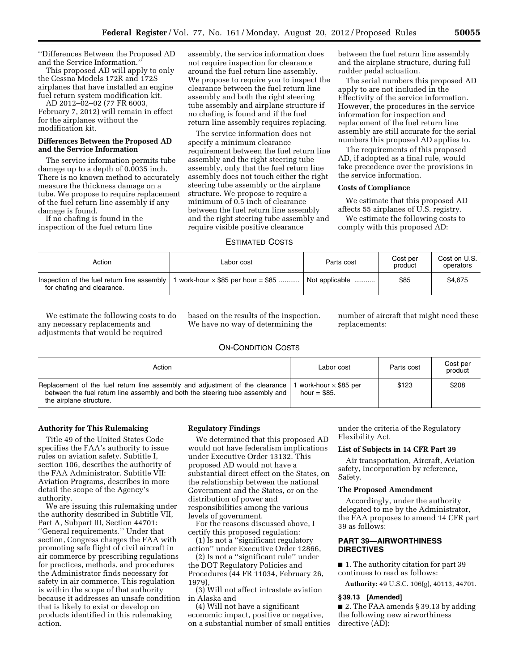''Differences Between the Proposed AD and the Service Information.''

This proposed AD will apply to only the Cessna Models 172R and 172S airplanes that have installed an engine fuel return system modification kit.

AD 2012–02–02 (77 FR 6003, February 7, 2012) will remain in effect for the airplanes without the modification kit.

# **Differences Between the Proposed AD and the Service Information**

The service information permits tube damage up to a depth of 0.0035 inch. There is no known method to accurately measure the thickness damage on a tube. We propose to require replacement of the fuel return line assembly if any damage is found.

If no chafing is found in the inspection of the fuel return line assembly, the service information does not require inspection for clearance around the fuel return line assembly. We propose to require you to inspect the clearance between the fuel return line assembly and both the right steering tube assembly and airplane structure if no chafing is found and if the fuel return line assembly requires replacing.

The service information does not specify a minimum clearance requirement between the fuel return line assembly and the right steering tube assembly, only that the fuel return line assembly does not touch either the right steering tube assembly or the airplane structure. We propose to require a minimum of 0.5 inch of clearance between the fuel return line assembly and the right steering tube assembly and require visible positive clearance

between the fuel return line assembly and the airplane structure, during full rudder pedal actuation.

The serial numbers this proposed AD apply to are not included in the Effectivity of the service information. However, the procedures in the service information for inspection and replacement of the fuel return line assembly are still accurate for the serial numbers this proposed AD applies to.

The requirements of this proposed AD, if adopted as a final rule, would take precedence over the provisions in the service information.

# **Costs of Compliance**

We estimate that this proposed AD affects 55 airplanes of U.S. registry.

We estimate the following costs to comply with this proposed AD:

#### ESTIMATED COSTS

| Action                                                                    | Labor cost                              | Parts cost     | Cost per<br>product | Cost on U.S.<br>operators |
|---------------------------------------------------------------------------|-----------------------------------------|----------------|---------------------|---------------------------|
| Inspection of the fuel return line assembly<br>for chafing and clearance. | work-hour $\times$ \$85 per hour = \$85 | Not applicable | \$85                | \$4,675                   |

We estimate the following costs to do any necessary replacements and adjustments that would be required

based on the results of the inspection. We have no way of determining the

number of aircraft that might need these replacements:

# ON-CONDITION COSTS

| Action                                                                                                                                                                                   | Labor cost                                   | Parts cost | Cost per<br>product |
|------------------------------------------------------------------------------------------------------------------------------------------------------------------------------------------|----------------------------------------------|------------|---------------------|
| Replacement of the fuel return line assembly and adjustment of the clearance<br>between the fuel return line assembly and both the steering tube assembly and<br>the airplane structure. | work-hour $\times$ \$85 per<br>hour = $$85.$ | \$123      | \$208               |

# **Authority for This Rulemaking**

Title 49 of the United States Code specifies the FAA's authority to issue rules on aviation safety. Subtitle I, section 106, describes the authority of the FAA Administrator. Subtitle VII: Aviation Programs, describes in more detail the scope of the Agency's authority.

We are issuing this rulemaking under the authority described in Subtitle VII, Part A, Subpart III, Section 44701: ''General requirements.'' Under that section, Congress charges the FAA with promoting safe flight of civil aircraft in air commerce by prescribing regulations for practices, methods, and procedures the Administrator finds necessary for safety in air commerce. This regulation is within the scope of that authority because it addresses an unsafe condition that is likely to exist or develop on products identified in this rulemaking action.

## **Regulatory Findings**

We determined that this proposed AD would not have federalism implications under Executive Order 13132. This proposed AD would not have a substantial direct effect on the States, on the relationship between the national Government and the States, or on the distribution of power and responsibilities among the various levels of government.

For the reasons discussed above, I certify this proposed regulation:

(1) Is not a ''significant regulatory action'' under Executive Order 12866,

(2) Is not a ''significant rule'' under the DOT Regulatory Policies and Procedures (44 FR 11034, February 26, 1979),

(3) Will not affect intrastate aviation in Alaska and

(4) Will not have a significant economic impact, positive or negative, on a substantial number of small entities

under the criteria of the Regulatory Flexibility Act.

#### **List of Subjects in 14 CFR Part 39**

Air transportation, Aircraft, Aviation safety, Incorporation by reference, Safety.

## **The Proposed Amendment**

Accordingly, under the authority delegated to me by the Administrator, the FAA proposes to amend 14 CFR part 39 as follows:

# **PART 39—AIRWORTHINESS DIRECTIVES**

■ 1. The authority citation for part 39 continues to read as follows:

**Authority:** 49 U.S.C. 106(g), 40113, 44701.

#### **§ 39.13 [Amended]**

■ 2. The FAA amends § 39.13 by adding the following new airworthiness directive (AD):